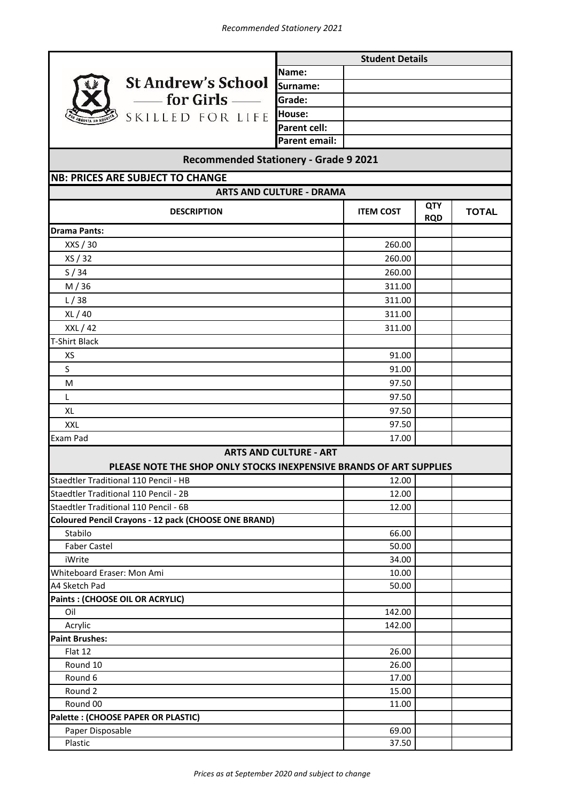

**Name: Surname: Grade: House: Parent cell: Parent email: Student Details**

## **ITEM COST QTY RQD TOTAL** 260.00 260.00 260.00 311.00 311.00 311.00 311.00 91.00 91.00 97.50 97.50 97.50 97.50 17.00 12.00 12.00 12.00 66.00 50.00 34.00 10.00 50.00 142.00 142.00 26.00 26.00 17.00 15.00 11.00 69.00 37.50 **Recommended Stationery - Grade 9 2021** Faber Castel Whiteboard Eraser: Mon Ami XS S M L **NB: PRICES ARE SUBJECT TO CHANGE** T-Shirt Black **ARTS AND CULTURE - DRAMA DESCRIPTION Drama Pants:** XXS / 30 XS / 32 S / 34 M / 36 L / 38 XL / 40 XXL / 42 XL XXL **ARTS AND CULTURE - ART** Staedtler Traditional 110 Pencil - 2B Staedtler Traditional 110 Pencil - 6B Exam Pad Staedtler Traditional 110 Pencil - HB **PLEASE NOTE THE SHOP ONLY STOCKS INEXPENSIVE BRANDS OF ART SUPPLIES Coloured Pencil Crayons - 12 pack (CHOOSE ONE BRAND)** A4 Sketch Pad iWrite Flat 12 Round 10 Round 6 Stabilo **Paints : (CHOOSE OIL OR ACRYLIC)** Plastic Acrylic Oil **Palette : (CHOOSE PAPER OR PLASTIC)** Paper Disposable Round 2 Round 00 **Paint Brushes:**